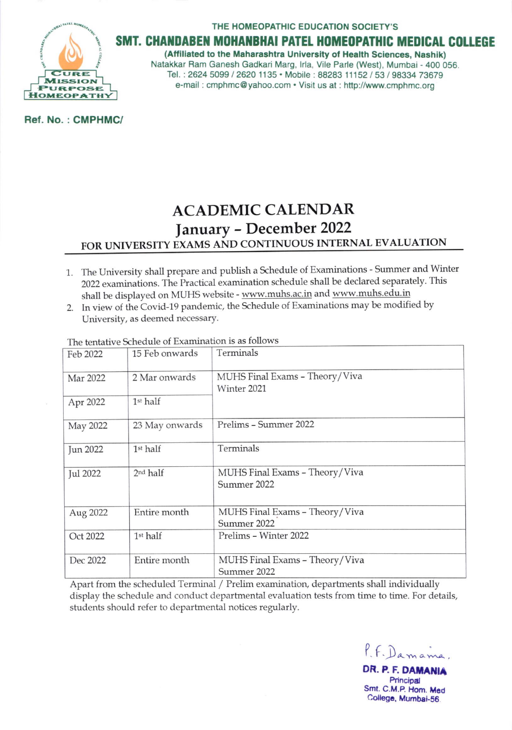URE **MISSION URPOSE НОМЕОРАТН** 

#### THE HOMEOPATHIC EDUCATION SOCIETY'S

### SMT. CHANDABEN MOHANBHAI PATEL HOMEOPATHIC MEDICAL COLLEGE

(Affiliated to the Maharashtra University of Health Sciences, Nashik) Natakkar Ram Ganesh Gadkari Marg, Irla, Vile Parle (West), Mumbai - 400 056. Tel.: 2624 5099 / 2620 1135 · Mobile: 88283 11152 / 53 / 98334 73679 e-mail: cmphmc@yahoo.com • Visit us at: http://www.cmphmc.org

Ref. No.: CMPHMC/

# **ACADEMIC CALENDAR** January - December 2022 FOR UNIVERSITY EXAMS AND CONTINUOUS INTERNAL EVALUATION

- 1. The University shall prepare and publish a Schedule of Examinations Summer and Winter 2022 examinations. The Practical examination schedule shall be declared separately. This shall be displayed on MUHS website - www.muhs.ac.in and www.muhs.edu.in
- 2. In view of the Covid-19 pandemic, the Schedule of Examinations may be modified by University, as deemed necessary.

| Feb 2022 | 15 Feb onwards       | Terminals                                     |
|----------|----------------------|-----------------------------------------------|
| Mar 2022 | 2 Mar onwards        | MUHS Final Exams - Theory/Viva<br>Winter 2021 |
| Apr 2022 | 1st half             |                                               |
| May 2022 | 23 May onwards       | Prelims - Summer 2022                         |
| Jun 2022 | 1 <sup>st</sup> half | Terminals                                     |
| Jul 2022 | 2 <sup>nd</sup> half | MUHS Final Exams - Theory/Viva<br>Summer 2022 |
| Aug 2022 | Entire month         | MUHS Final Exams - Theory/Viva<br>Summer 2022 |
| Oct 2022 | 1st half             | Prelims - Winter 2022                         |
| Dec 2022 | Entire month         | MUHS Final Exams - Theory/Viva<br>Summer 2022 |

The tentative Schedule of Examination is as follows

Apart from the scheduled Terminal / Prelim examination, departments shall individually display the schedule and conduct departmental evaluation tests from time to time. For details, students should refer to departmental notices regularly.

P.F. Damama,

DR. P. F. DAMANIA Principal Smt. C.M.P. Hom. Med College, Mumbai-56